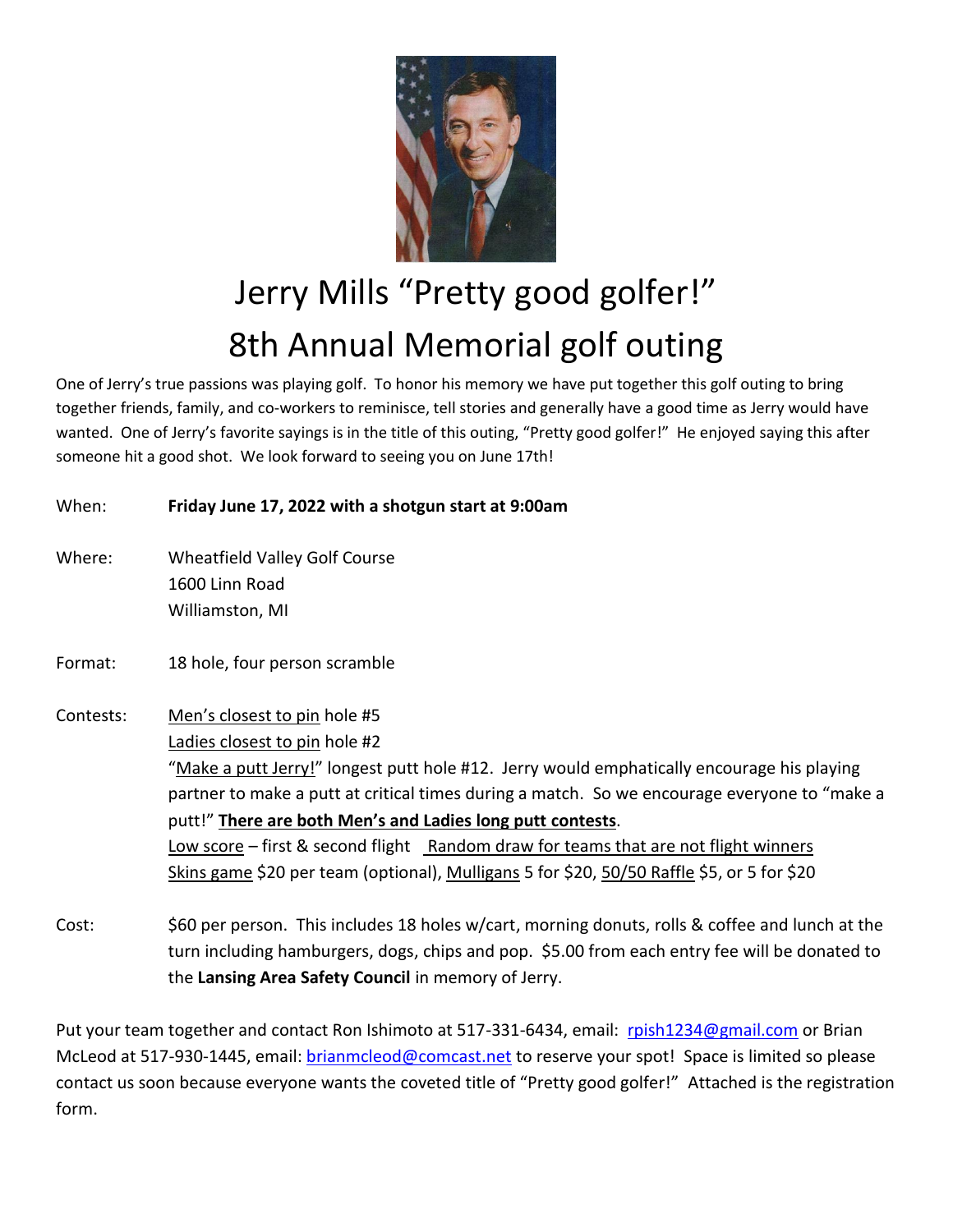

## Jerry Mills "Pretty good golfer!" 8th Annual Memorial golf outing

One of Jerry's true passions was playing golf. To honor his memory we have put together this golf outing to bring together friends, family, and co-workers to reminisce, tell stories and generally have a good time as Jerry would have wanted. One of Jerry's favorite sayings is in the title of this outing, "Pretty good golfer!" He enjoyed saying this after someone hit a good shot. We look forward to seeing you on June 17th!

| When:     | Friday June 17, 2022 with a shotgun start at 9:00am                                                                                                                                                                                                                                                                                                                                                                                                                                                            |
|-----------|----------------------------------------------------------------------------------------------------------------------------------------------------------------------------------------------------------------------------------------------------------------------------------------------------------------------------------------------------------------------------------------------------------------------------------------------------------------------------------------------------------------|
| Where:    | <b>Wheatfield Valley Golf Course</b><br>1600 Linn Road<br>Williamston, MI                                                                                                                                                                                                                                                                                                                                                                                                                                      |
| Format:   | 18 hole, four person scramble                                                                                                                                                                                                                                                                                                                                                                                                                                                                                  |
| Contests: | Men's closest to pin hole #5<br>Ladies closest to pin hole #2<br>"Make a putt Jerry!" longest putt hole #12. Jerry would emphatically encourage his playing<br>partner to make a putt at critical times during a match. So we encourage everyone to "make a<br>putt!" There are both Men's and Ladies long putt contests.<br>Low score – first & second flight Random draw for teams that are not flight winners<br>Skins game \$20 per team (optional), Mulligans 5 for \$20, 50/50 Raffle \$5, or 5 for \$20 |
|           | 000 ilman ilman - This in dedos 40 holes educatores de contra colle 0 pette e codificiale status                                                                                                                                                                                                                                                                                                                                                                                                               |

Cost: \$60 per person. This includes 18 holes w/cart, morning donuts, rolls & coffee and lunch at the turn including hamburgers, dogs, chips and pop. \$5.00 from each entry fee will be donated to the **Lansing Area Safety Council** in memory of Jerry.

Put your team together and contact Ron Ishimoto at 517-331-6434, email: [rpish1234@gmail.com](mailto:rpish1234@gmail.com) or Brian McLeod at 517-930-1445, email: [brianmcleod@comcast.net](mailto:brianmcleod@comcast.net) to reserve your spot! Space is limited so please contact us soon because everyone wants the coveted title of "Pretty good golfer!" Attached is the registration form.